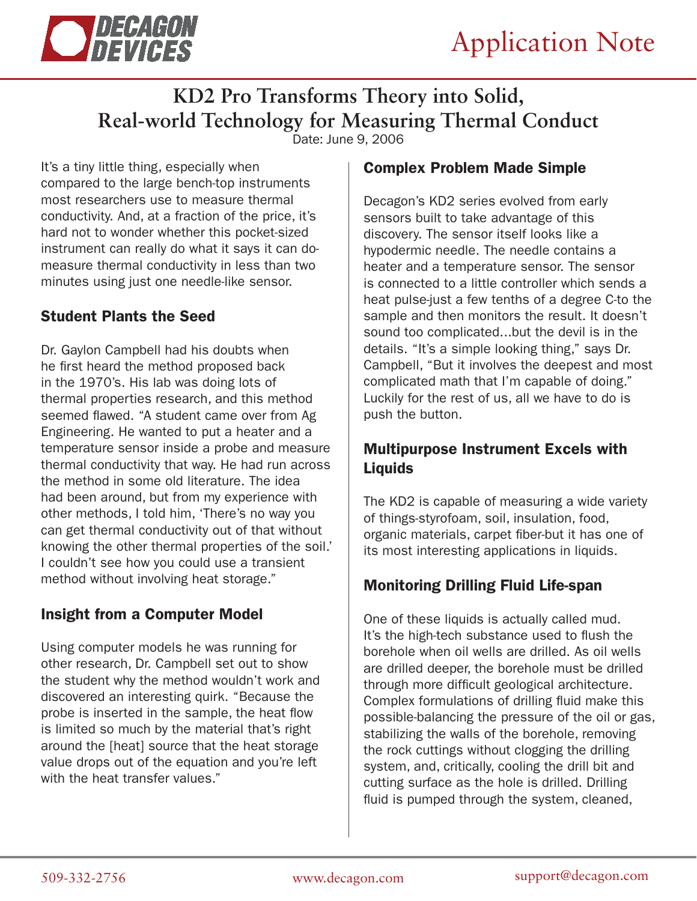



# **KD2 Pro Transforms Theory into Solid, Real-world Technology for Measuring Thermal Conduct**

Date: June 9, 2006

It's a tiny little thing, especially when compared to the large bench-top instruments most researchers use to measure thermal conductivity. And, at a fraction of the price, it's hard not to wonder whether this pocket-sized instrument can really do what it says it can domeasure thermal conductivity in less than two minutes using just one needle-like sensor.

#### Student Plants the Seed

Dr. Gaylon Campbell had his doubts when he first heard the method proposed back in the 1970's. His lab was doing lots of thermal properties research, and this method seemed flawed. "A student came over from Ag Engineering. He wanted to put a heater and a temperature sensor inside a probe and measure thermal conductivity that way. He had run across the method in some old literature. The idea had been around, but from my experience with other methods, I told him, 'There's no way you can get thermal conductivity out of that without knowing the other thermal properties of the soil.' I couldn't see how you could use a transient method without involving heat storage."

## Insight from a Computer Model

Using computer models he was running for other research, Dr. Campbell set out to show the student why the method wouldn't work and discovered an interesting quirk. "Because the probe is inserted in the sample, the heat flow is limited so much by the material that's right around the [heat] source that the heat storage value drops out of the equation and you're left with the heat transfer values."

## Complex Problem Made Simple

Decagon's KD2 series evolved from early sensors built to take advantage of this discovery. The sensor itself looks like a hypodermic needle. The needle contains a heater and a temperature sensor. The sensor is connected to a little controller which sends a heat pulse-just a few tenths of a degree C-to the sample and then monitors the result. It doesn't sound too complicated...but the devil is in the details. "It's a simple looking thing," says Dr. Campbell, "But it involves the deepest and most complicated math that I'm capable of doing." Luckily for the rest of us, all we have to do is push the button.

## Multipurpose Instrument Excels with Liquids

The KD2 is capable of measuring a wide variety of things-styrofoam, soil, insulation, food, organic materials, carpet fiber-but it has one of its most interesting applications in liquids.

## Monitoring Drilling Fluid Life-span

One of these liquids is actually called mud. It's the high-tech substance used to flush the borehole when oil wells are drilled. As oil wells are drilled deeper, the borehole must be drilled through more difficult geological architecture. Complex formulations of drilling fluid make this possible-balancing the pressure of the oil or gas, stabilizing the walls of the borehole, removing the rock cuttings without clogging the drilling system, and, critically, cooling the drill bit and cutting surface as the hole is drilled. Drilling fluid is pumped through the system, cleaned,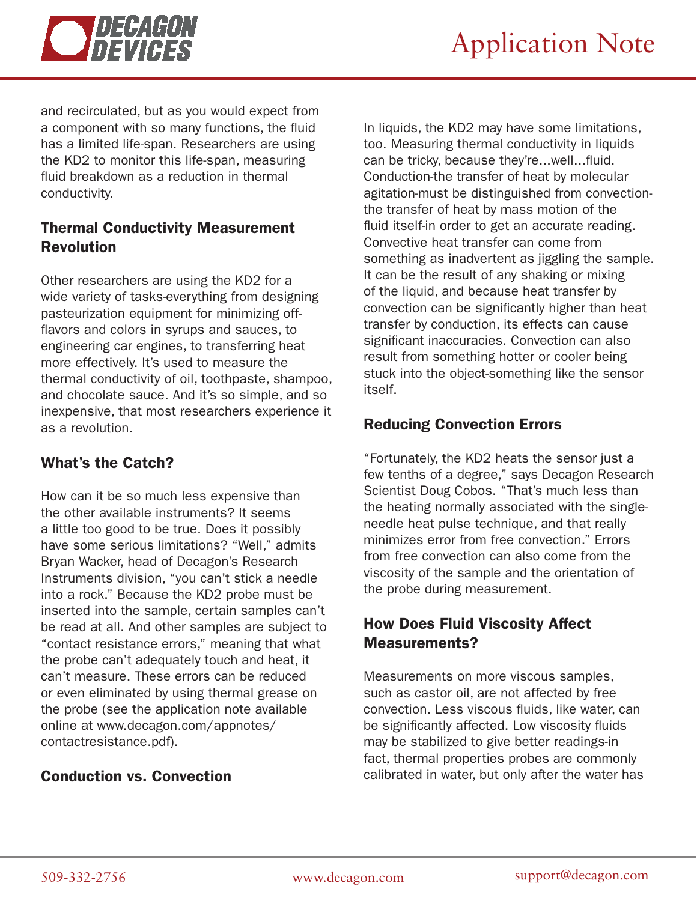

and recirculated, but as you would expect from a component with so many functions, the fluid has a limited life-span. Researchers are using the KD2 to monitor this life-span, measuring fluid breakdown as a reduction in thermal conductivity.

## Thermal Conductivity Measurement Revolution

Other researchers are using the KD2 for a wide variety of tasks-everything from designing pasteurization equipment for minimizing offflavors and colors in syrups and sauces, to engineering car engines, to transferring heat more effectively. It's used to measure the thermal conductivity of oil, toothpaste, shampoo, and chocolate sauce. And it's so simple, and so inexpensive, that most researchers experience it as a revolution.

## What's the Catch?

How can it be so much less expensive than the other available instruments? It seems a little too good to be true. Does it possibly have some serious limitations? "Well," admits Bryan Wacker, head of Decagon's Research Instruments division, "you can't stick a needle into a rock." Because the KD2 probe must be inserted into the sample, certain samples can't be read at all. And other samples are subject to "contact resistance errors," meaning that what the probe can't adequately touch and heat, it can't measure. These errors can be reduced or even eliminated by using thermal grease on the probe (see the application note available online at www.decagon.com/appnotes/ contactresistance.pdf).

## Conduction vs. Convection

In liquids, the KD2 may have some limitations, too. Measuring thermal conductivity in liquids can be tricky, because they're...well...fluid. Conduction-the transfer of heat by molecular agitation-must be distinguished from convectionthe transfer of heat by mass motion of the fluid itself-in order to get an accurate reading. Convective heat transfer can come from something as inadvertent as jiggling the sample. It can be the result of any shaking or mixing of the liquid, and because heat transfer by convection can be significantly higher than heat transfer by conduction, its effects can cause significant inaccuracies. Convection can also result from something hotter or cooler being stuck into the object-something like the sensor itself.

# Reducing Convection Errors

"Fortunately, the KD2 heats the sensor just a few tenths of a degree," says Decagon Research Scientist Doug Cobos. "That's much less than the heating normally associated with the singleneedle heat pulse technique, and that really minimizes error from free convection." Errors from free convection can also come from the viscosity of the sample and the orientation of the probe during measurement.

# How Does Fluid Viscosity Affect Measurements?

Measurements on more viscous samples, such as castor oil, are not affected by free convection. Less viscous fluids, like water, can be significantly affected. Low viscosity fluids may be stabilized to give better readings-in fact, thermal properties probes are commonly calibrated in water, but only after the water has